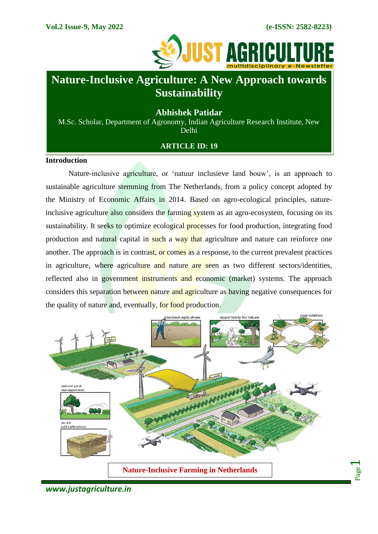Page  $\overline{\phantom{0}}$ 



# **Nature-Inclusive Agriculture: A New Approach towards Sustainability**

# **Abhishek Patidar**

M.Sc. Scholar, Department of Agronomy, Indian Agriculture Research Institute, New Delhi

## **ARTICLE ID: 19**

#### **Introduction**

Nature-inclusive agriculture, or "natuur inclusieve land bouw", is an approach to sustainable agriculture stemming from The Netherlands, from a policy concept adopted by the Ministry of Economic Affairs in 2014. Based on agro-ecological principles, natureinclusive agriculture also considers the farming system as an agro-ecosystem, focusing on its sustainability. It seeks to optimize ecological processes for food production, integrating food production and natural capital in such a way that agriculture and nature can reinforce one another. The approach is in contrast, or comes as a response, to the current prevalent practices in agriculture, where agriculture and nature are seen as two different sectors/identities, reflected also in government instruments and economic (market) systems. The approach considers this separation between nature and agriculture as having negative consequences for the quality of nature and, eventually, for food production.



*www.justagriculture.in*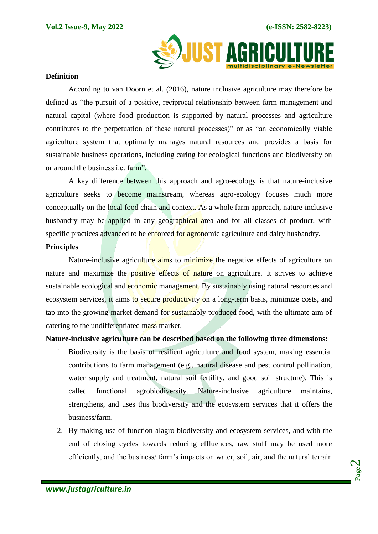

#### **Definition**

According to van Doorn et al. (2016), nature inclusive agriculture may therefore be defined as "the pursuit of a positive, reciprocal relationship between farm management and natural capital (where food production is supported by natural processes and agriculture contributes to the perpetuation of these natural processes)" or as "an economically viable agriculture system that optimally manages natural resources and provides a basis for sustainable business operations, including caring for ecological functions and biodiversity on or around the business i.e. farm".

A key difference between this approach and agro-ecology is that nature-inclusive agriculture seeks to become mainstream, whereas agro-ecology focuses much more conceptually on the local food chain and context. As a whole farm approach, nature-inclusive husbandry may be applied in any geographical area and for all classes of product, with specific practices advanced to be enforced for agronomic agriculture and dairy husbandry.

## **Principles**

Nature-inclusive agriculture aims to minimize the negative effects of agriculture on nature and maximize the positive effects of nature on agriculture. It strives to achieve sustainable ecological and **economic** management. By sustainably using natural resources and ecosystem services, it aims to secure productivity on a long-term basis, minimize costs, and tap into the growing market demand for sustainably produced food, with the ultimate aim of catering to the undifferentiated mass market.

### **Nature-inclusive agriculture can be described based on the following three dimensions:**

- 1. Biodiversity is the basis of resilient agriculture and food system, making essential contributions to farm management (e.g., natural disease and pest control pollination, water supply and treatment, natural soil fertility, and good soil structure). This is called functional agrobiodiversity. Nature-inclusive agriculture maintains, strengthens, and uses this biodiversity and the ecosystem services that it offers the business/farm.
- 2. By making use of function alagro-biodiversity and ecosystem services, and with the end of closing cycles towards reducing effluences, raw stuff may be used more efficiently, and the business/ farm"s impacts on water, soil, air, and the natural terrain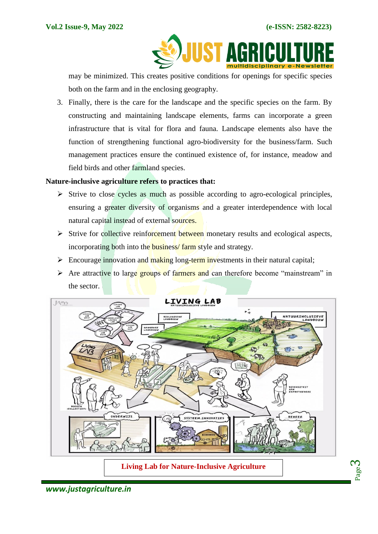Page က $\,$ 

**AG** 

may be minimized. This creates positive conditions for openings for specific species both on the farm and in the enclosing geography.

3. Finally, there is the care for the landscape and the specific species on the farm. By constructing and maintaining landscape elements, farms can incorporate a green infrastructure that is vital for flora and fauna. Landscape elements also have the function of strengthening functional agro-biodiversity for the business/farm. Such management practices ensure the continued existence of, for instance, meadow and field birds and other farmland species.

# **Nature-inclusive agriculture refers to practices that:**

- $\triangleright$  Strive to close cycles as much as possible according to agro-ecological principles, ensuring a greater diversity of organisms and a greater interdependence with local natural capital instead of external sources.
- $\triangleright$  Strive for collective reinforcement between monetary results and ecological aspects, incorporating both into the business/ farm style and strategy.
- Encourage innovation and making long-term investments in their natural capital;
- $\triangleright$  Are attractive to large groups of farmers and can therefore become "mainstream" in the sector.



*www.justagriculture.in*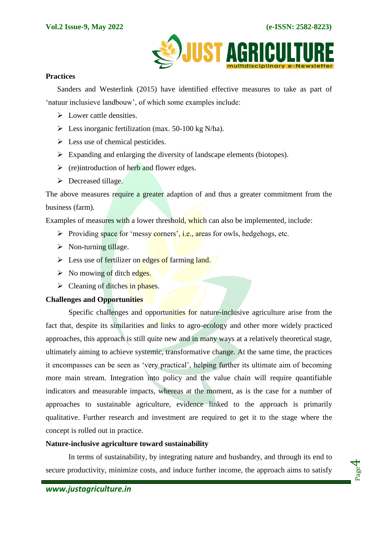

## **Practices**

Sanders and Westerlink (2015) have identified effective measures to take as part of 'natuur inclusieve landbouw', of which some examples include:

- $\triangleright$  Lower cattle densities.
- $\triangleright$  Less inorganic fertilization (max. 50-100 kg N/ha).
- $\triangleright$  Less use of chemical pesticides.
- $\triangleright$  Expanding and enlarging the diversity of landscape elements (biotopes).
- $\triangleright$  (re) introduction of herb and flower edges.
- $\triangleright$  Decreased tillage.

The above measures require a greater adaption of and thus a greater commitment from the business (farm).

Examples of measures with a lower threshold, which can also be implemented, include:

- Providing space for 'messy corners', i.e., areas for owls, hedgehogs, etc.
- $\triangleright$  Non-turning tillage.
- $\triangleright$  Less use of fertilizer on edges of farming land.
- $\triangleright$  No mowing of ditch edges.
- $\triangleright$  Cleaning of ditches in phases.

### **Challenges and Opportunities**

Specific challenges and opportunities for nature-inclusive agriculture arise from the fact that, despite its similarities and links to agro-ecology and other more widely practiced approaches, this approach is still quite new and in many ways at a relatively theoretical stage, ultimately aiming to achieve systemic, transformative change. At the same time, the practices it encompasses can be seen as "very practical", helping further its ultimate aim of becoming more main stream. Integration into policy and the value chain will require quantifiable indicators and measurable impacts, whereas at the moment, as is the case for a number of approaches to sustainable agriculture, evidence linked to the approach is primarily qualitative. Further research and investment are required to get it to the stage where the concept is rolled out in practice.

### **Nature-inclusive agriculture toward sustainability**

In terms of sustainability, by integrating nature and husbandry, and through its end to secure productivity, minimize costs, and induce further income, the approach aims to satisfy